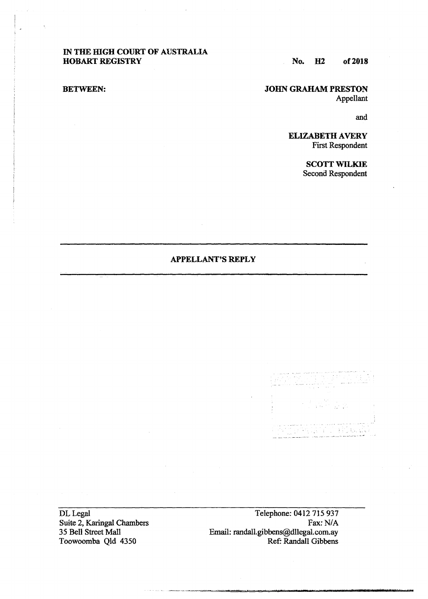## IN THE HIGH COURT OF AUSTRALIA HOBART REGISTRY

No. H2 of2018

# BETWEEN:

JOHN GRAHAM PRESTON Appellant

and

ELIZABETH AVERY First Respondent

> SCOTT WILKIE Second Respondent

## APPELLANT'S REPLY

DL Legal Suite 2. Karingal Chambers 35 Bell Street Mall Toowoomba Qld 4350

Telephone: 0412 715 937 Fax: N/A Email: randall.gibbens@dllegal.com.ay Ref: Randall Gibbens

-~··-·~--·-~""""""""=""""""-=·==-==--==-....... ---=------·-· .... , .... *t,, ............. t,*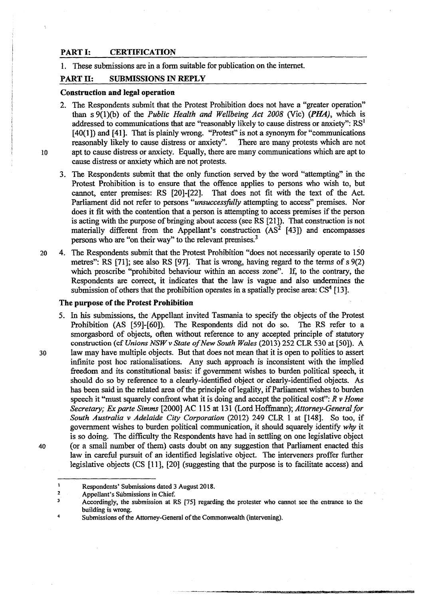## PART I: CERTIFICATION

l. These submissions are in a form suitable for publication on the internet.

### PART II: SUBMISSIONS IN REPLY

#### Construction and legal operation

- 2. The Respondents submit that the Protest Prohibition does not have a "greater operation" than s 9(1)(b) of the *Public Health and Wellbeing Act 2008* (Vie) *(PHA),* which is addressed to communications that are "reasonably likely to cause distress or anxiety":  $RS<sup>1</sup>$ [40(1]) and [41]. That is plainly wrong. "Protest" is not a synonym for "communications" reasonably likely to cause distress or anxiety". There are many protests which are not lO apt to cause distress or anxiety. Equally, there are many communications which are apt to cause distress or anxiety which are not protests.
	- 3. The Respondents submit that the only function served by the word "attempting" in the Protest Prohibition is to ensure that the offence applies to persons who wish to, but cannot, enter premises: RS [20]-[22]. That does not fit with the text of the Act Parliament did not refer to persons *"unsuccessfully* attempting to access" premises. Nor does it fit with the contention that a person is attempting to access premises if the person is acting with the purpose of bringing about access (seeRS [21]). That construction is not materially different from the Appellant's construction  $(AS<sup>2</sup> [43])$  and encompasses persons who are "on their way" to the relevant premises.<sup>3</sup>
- 20 4. The Respondents submit that the Protest Prohibition "does not necessarily operate to 150 metres": RS [71]; see also RS [97]. That is wrong, having regard to the terms of s 9(2) which proscribe "prohibited behaviour within an access zone". If, to the contrary, the Respondents are correct, it indicates that the law is vague and also undermines the submission of others that the prohibition operates in a spatially precise area:  $CS<sup>4</sup>$  [13].

#### The purpose of the Protest Prohibition

5. In his submissions, the Appellant invited Tasmania to specify the objects of the Protest Prohibition (AS [59]-[60]). The Respondents did not do so. The RS refer to a smorgasbord of objects, often without reference to any accepted principle of statutory construction (cf *Unions NSW* v *State of New South Wales* (2013) 252 CLR 530 at [50)). A 30 law may have multiple objects. But that does not mean that it is open to polities to assert infinite post hoc rationalisations. Any such approach is inconsistent with the implied freedom and its constitutional basis: if government wishes to burden political speech, it should do so by reference to a clearly-identified object or clearly-identified objects. As has been said in the related area of the principle of legality, if Parliament wishes to burden speech it "must squarely confront what it is doing and accept the political cost"; *R v Home Secretary;* Ex *parte Simms* [2000] AC 115 at 131 (Lord Hoffinann); *Attorney-General for South Australia v Adelaide City Corporation* (2012) 249 CLR 1 at [148J. So too, if government wishes to burden political communication, it should squarely identify *why* it is so doing. The difficulty the Respondents have had in settling on one legislative object 40 (or a small number of them) casts doubt on any suggestion that Parliament enacted this law in careful pursuit of an identified legislative object. The interveners proffer further legislative objects (CS [11], [20] (suggesting that the purpose is to facilitate access) and

 $\mathbf i$ Respondents' Submissions dated 3 August 20l8.

<sup>2</sup>  Appellant's Submissions in Chief.

<sup>3</sup>  Accordingly, the submission at RS [75] regarding the protester who cannot see the entrance to the building is wrong. 4

Submissions of the Attorney-General of the Commonwealth (intervening).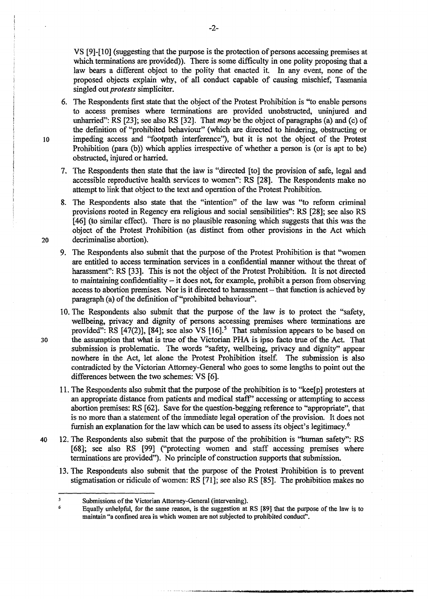VS [9]-[10] (suggesting that the purpose is the protection of persons accessing premises at which terminations are provided)). There is some difficulty in one polity proposing that a law bears a different object to the polity that enacted it. In any event, none of the proposed objects explain why, of all conduct capable of causing mischief, Tasmania singled out *protests* simpliciter.

6. The Respondents first state that the object of the Protest Prohibition is "to enable persons to access premises where terminations are provided unobstructed, uninjured and unharried": RS [23]; see also RS [32]. That *may* be the object of paragraphs (a) and (c) of the definition of "prohibited behaviour" (which are directed to hindering, obstructing or 10 impeding access and "footpath interference"), but it is not the object of the Protest Prohibition (para (b)) which applies irrespective of whether a person is (or is apt to be) obstructed, injured or harried.

7. The Respondents then state that the law is "directed [to] the provision of safe, legal and accessible reproductive health services to women": RS [28]. The Respondents make no attempt to link that object to the text and operation of the Protest Prohibition.

8. The Respondents also state that the "intention" of the law was "to reform criminal provisions rooted in Regency era religious and social sensibilities": RS [28]; see also RS [46] (to similar effect). There is no plausible reasoning which suggests that this was the object of the Protest Prohibition (as distinct from other provisions in the Act which 20 decriminalise abortion}.

- 9. The Respondents also submit that the purpose of the Protest Prohibition is that "women are entitled to access termination services in a confidential manner without the threat of harassment": RS [33]. This is not the object of the Protest Prohibition. It is not directed to maintaining confidentiality - it does not, for example, prohibit a person from observing access to abortion premises. Nor is it directed to harassment- that function is achieved by paragraph (a) of the definition of "prohibited behaviour".
- 10. The Respondents also submit that the purpose of the Jaw is to protect the ''safety, wellbeing, privacy and dignity of persons accessing premises where terminations are provided": RS  $[47(2)]$ ,  $[84]$ ; see also VS  $[16]$ <sup>5</sup>. That submission appears to be based on 30 the assumption that what is true of the Victorian PHA is ipso facto true of the Act. That submission is problematic. The words "safety, wellbeing, privacy and dignity" appear nowhere in the Act, let alone the Protest Prohibition itself. The submission is also contradicted by the Victorian Attorney-General who goes to some lengths to point out the differences between the two schemes: VS [6].
	- 11. The Respondents also submit that the purpose of the prohibition is to "kee[p] protesters at an appropriate distance from patients and medical staff'' accessing or attempting to access abortion premises: RS [62]. Save for the question-begging reference to "appropriate", that is no more than a statement of the immediate legal operation of the provision. It does not furnish an explanation for the law which can be used to assess its object's legitimacy. 6
- 40 12. The Respondents also submit that the purpose of the prohibition is "human safety"; RS [68]; see also RS [99] ("protecting women and staff accessing premises where terminations are provided"}. No principle of construction supports that submission.
	- 13. The Respondents also submit that the purpose of the Protest Prohibition is to prevent stigmatisation or ridicule of women: RS [71]; see also RS [85]. The prohibition makes no

-- -------·----·-·~-------------------

-2-

 $\overline{\mathbf{z}}$ Submissions of the Victorian Attorney-General (intervening). 6

Equally unhelpful, for the same reason, is the suggestion at RS [89] that the purpose of the law is to maintain "a confined area in which women are not subjected to prohibited conduct".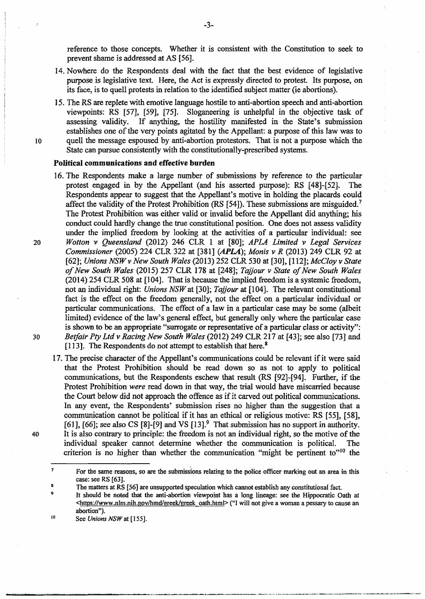reference to those concepts. Whether it is consistent with the Constitution to seek to prevent shame is addressed at AS [56].

- 14. Nowhere do the Respondents deal with the fact that the best evidence of legislative purpose is legislative text. Here, the Act is expressly directed to protest. Its purpose, on its face, is to quell protests in relation to the identified subject matter (ie abortions).
- 15. The RS are replete with emotive language hostile to anti-abortion speech and anti-abortion viewpoints: RS [57], [59], [75]. Sloganeering is unhelpful in the objective task of assessing validity. If anything, the hostility manifested in the State's submission establishes one of the very points agitated by the Appellant: a purpose of this law was to IO quell the message espoused by anti-abortion protesters. That is not a purpose which the State can pursue consistently with the constitutionally-prescribed systems.

#### **Political communications and effective burden**

- 16. The Respondents make a large number of submissions by reference to the particular protest engaged in by the Appellant (and his asserted purpose): RS [48]-[52}. The Respondents appear to suggest that the Appellant's motive in holding the placards could affect the validity of the Protest Prohibition (RS  $[54]$ ). These submissions are misguided.<sup>7</sup> The Protest Prohibition was either valid or invalid before the Appellant did anything; his conduct could hardly change the true constitutional position. One does not assess validity under the implied freedom by looking at the activities of a particular individual: see 20 *Wotton* v *Queensland* (2012) 246 CLR 1 at [80]; *APLA Limited* v *Legal Services Commissioner* (2005) 224 CLR 322 at [381] (APLA); *Monis v R* (2013) 249 CLR 92 at [62]; *Unions NSW v New South Wales* (2013) 252 CLR 530 at [30], [112]; *McCloy v State of New South Wales* (2015) 257 CLR 178 at [248]; *Tajjour v State of New South Wales*  (2014) 254 CLR 508 at [104]. That is because the implied freedom is a systemic freedom, not an individual right: *Unions NSW* at [30]; *Tajjour* at [104]. The relevant constitutional fact is the effect on the freedom generally, not the effect on a particular individual or particular communications. The effect of a law in a particular case may be some (albeit limited) evidence of the law's general effect, but generally only where the particular case is shown to be an appropriate "surrogate or representative of a particular class or activity": 30 *Betfair Pty Ltd v Racing New South Wales* (2012) 249 CLR 217 at [43]; see also (73] and [113]. The Respondents do not attempt to establish that here.<sup>8</sup>
- 17. The precise character of the Appellant's communications could be relevant if it were said that the Protest Prohibition should be read down so as not to apply to political communications, but the Respondents eschew that result (RS [92]-[94]. Further, if the Protest Prohibition *were* read down in that way, the trial would have miscarried because the Court below did not approach the offence as if it carved out political communications. In any event, the Respondents' submission rises no higher than the suggestion that a communication cannot he political if it has an ethical or religious motive: RS [55], [58], [61], [66]; see also CS [8]-[9] and VS [13].<sup>9</sup> That submission has no support in authority. 40 It is also contrary to principle: the freedom is not an individual right, so the motive of the individual speaker cannot determine whether the communication is political. The criterion is no higher than whether the communication "might be pertinent to" $10$  the

*9* 

<sup>7</sup>  For the same reasons, so are the submissions relating to the police officer marking out an area in this case: see RS [63].

g The matters at RS [56] are unsupported speculation which cannot establish any constitutional fact.

It should be noted that the anti-abortion viewpoint has a long lineage: see the Hippocratic Oath at <https://www.nlm.nih.gov/hmd/greek/greek oath.html> ("I will not give a woman a pessary to cause an abortion").

<sup>10</sup>  See *Unions NSW* at [155].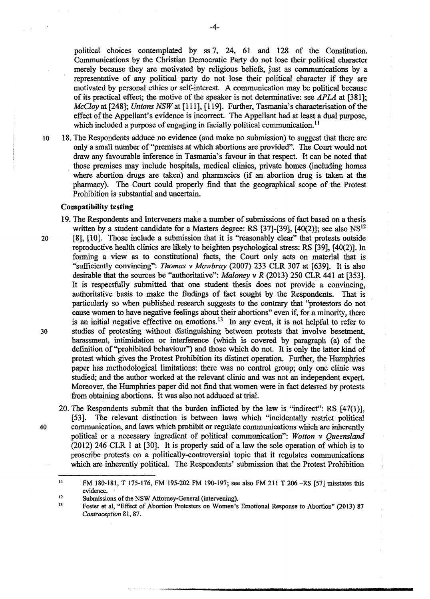political choices contemplated by ss 7, 24, 61 and 128 of the Constitution. Communications by the Christian Democratic Party do not lose their political character merely because they are motivated by religious beliefs, just as communications by a representative of any political party do not lose their political character if they are motivated by personal ethics or self-interest. A communication may be political because of its practical effect; the motive of the speaker is not determinative: see *AP LA* at [3 81]; *McCloy at [248]; Unions NSW at [111], [119]. Further, Tasmania's characterisation of the* effect of the Appellant's evidence is incorrect. The Appellant had at least a dual purpose, which included a purpose of engaging in facially political communication.<sup>11</sup>

10 18. The Respondents adduce no evidence (and make no submission) to suggest that there are only a small number of"premises at which abortions are provided". The Court would not draw any favourable inference in Tasmania's favour in that respect. It can be noted that those premises may include hospitals, medical clinics, private homes (including homes where abortion drugs are taken) and pharmacies (if an abortion drug is taken at the pharmacy). The Court could properly find that the geographical scope of the Protest Prohibition is substantial and uncertain.

### **Compatibility testing**

19. The Respondents and Interveners make a number of submissions of fact based on a thesis written by a student candidate for a Masters degree: RS  $[37]$ - $[39]$ ,  $[40(2)]$ ; see also NS<sup>12</sup> 20 [8], [10]. Those include a submission that it is "reasonably clear" that protests outside reproductive health clinics are likely to heighten psychological stress: RS [39], [40(2)]. In forming a view as to constitutional facts, the Court only acts on material that is "sufficiently convincing": *Thomas v Mowbray* (2007) 233 CLR 307 at [639]. It is also desirable that the sources be "authoritative": *Maloney* v *R* (2013) 250 CLR 441 at [353]. It is respectfully submitted that one student thesis does not provide a convincing, authoritative basis to make the findings of fact sought by the Respondents. That is particularly so when published research suggests to the contrary that ''protestors do not cause women to have negative feelings about their abortions" even if, for a minority, there is an initial negative effective on emotions.<sup>13</sup> In any event, it is not helpful to refer to 30 studies of protesting without distinguishing between protests that involve besetment, harassment, intimidation or interference (which is covered by paragraph (a) of the definition of "prohibited behaviour") and those which do not. It is only the latter kind of protest which gives the Protest Prohibition its distinct operation. Further, the Humphries paper has methodological limitations: there was no control group; only one clinic was studied; and the author worked at the relevant clinic and was not an independent expert. Moreover, the Humphries paper did not find that women were in fact deterred by protests from obtaining abortions. It was also not adduced at trial.

20. The Respondents submit that the burden inflicted by the law is "indirect": RS [47(1)], [53]. The relevant distinction is between laws which "incidentally restrict political 40 communication, and laws which prohibit or regulate communications which are inherently political or a necessary ingredient of political communication": *Wotton v Queensland*  (2012) 246 CLR 1 at [30]. It is properly said of a law the sole operation of which is to proscribe protests on a politically-controversial topic that it regulates communications which are inherently political. The Respondents' submission that the Protest Prohibition

<sup>11</sup>  FM 180-181, T 175-176, FM 195-202 FM 190-197; see also FM 211 T 206 -RS [57} misstates this evidence.

<sup>12</sup>  Submissions of the NSW Attorney-General (intervening).

<sup>13</sup>  Foster et al, "Effect of Abortion Protesters on Women's Emotional Response to Abortion" (2013) 87 *Contraception* 81, 87.